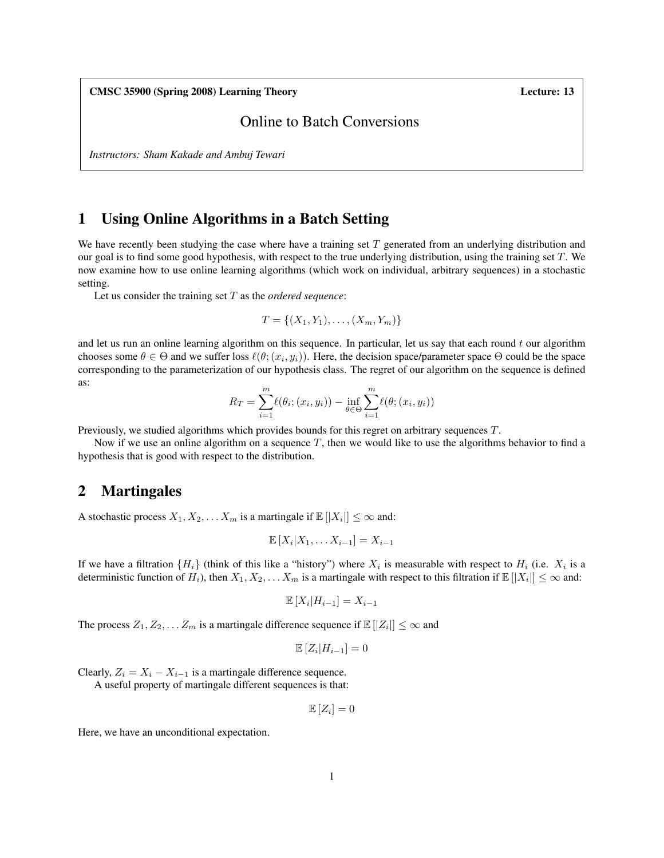CMSC 35900 (Spring 2008) Learning Theory Lecture: 13

## Online to Batch Conversions

*Instructors: Sham Kakade and Ambuj Tewari*

## 1 Using Online Algorithms in a Batch Setting

We have recently been studying the case where have a training set  $T$  generated from an underlying distribution and our goal is to find some good hypothesis, with respect to the true underlying distribution, using the training set  $T$ . We now examine how to use online learning algorithms (which work on individual, arbitrary sequences) in a stochastic setting.

Let us consider the training set T as the *ordered sequence*:

$$
T = \{(X_1, Y_1), \ldots, (X_m, Y_m)\}
$$

and let us run an online learning algorithm on this sequence. In particular, let us say that each round  $t$  our algorithm chooses some  $\theta \in \Theta$  and we suffer loss  $\ell(\theta; (x_i, y_i))$ . Here, the decision space/parameter space  $\Theta$  could be the space corresponding to the parameterization of our hypothesis class. The regret of our algorithm on the sequence is defined as:

$$
R_T = \sum_{i=1}^{m} \ell(\theta_i; (x_i, y_i)) - \inf_{\theta \in \Theta} \sum_{i=1}^{m} \ell(\theta; (x_i, y_i))
$$

Previously, we studied algorithms which provides bounds for this regret on arbitrary sequences T.

Now if we use an online algorithm on a sequence T, then we would like to use the algorithms behavior to find a hypothesis that is good with respect to the distribution.

### 2 Martingales

A stochastic process  $X_1, X_2, \ldots X_m$  is a martingale if  $\mathbb{E}[|X_i|] \leq \infty$  and:

$$
\mathbb{E}[X_i|X_1,\ldots X_{i-1}] = X_{i-1}
$$

If we have a filtration  $\{H_i\}$  (think of this like a "history") where  $X_i$  is measurable with respect to  $H_i$  (i.e.  $X_i$  is a deterministic function of  $H_i$ ), then  $X_1, X_2, \ldots X_m$  is a martingale with respect to this filtration if  $\mathbb{E}[|X_i|] \leq \infty$  and:

$$
\mathbb{E}[X_i|H_{i-1}] = X_{i-1}
$$

The process  $Z_1, Z_2, \ldots Z_m$  is a martingale difference sequence if  $\mathbb{E}[|Z_i|] \leq \infty$  and

$$
\mathbb{E}\left[Z_i|H_{i-1}\right] = 0
$$

Clearly,  $Z_i = X_i - X_{i-1}$  is a martingale difference sequence.

A useful property of martingale different sequences is that:

$$
\mathbb{E}\left[Z_i\right] = 0
$$

Here, we have an unconditional expectation.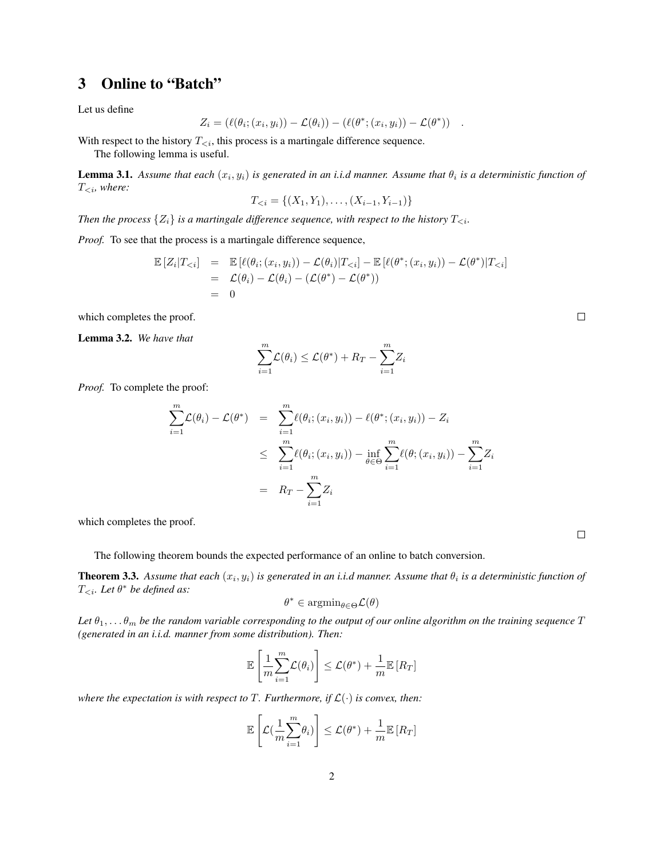# 3 Online to "Batch"

Let us define

$$
Z_i = (\ell(\theta_i; (x_i, y_i)) - \mathcal{L}(\theta_i)) - (\ell(\theta^*; (x_i, y_i)) - \mathcal{L}(\theta^*)) \quad .
$$

With respect to the history  $T_{\leq i}$ , this process is a martingale difference sequence. The following lemma is useful.

**Lemma 3.1.** Assume that each  $(x_i, y_i)$  is generated in an i.i.d manner. Assume that  $\theta_i$  is a deterministic function of T<i*, where:*

$$
T_{< i} = \{(X_1, Y_1), \dots, (X_{i-1}, Y_{i-1})\}
$$

*Then the process*  $\{Z_i\}$  *is a martingale difference sequence, with respect to the history*  $T_{\leq i}$ *.* 

*Proof.* To see that the process is a martingale difference sequence,

$$
\mathbb{E}\left[Z_i|T_{< i}\right] = \mathbb{E}\left[\ell(\theta_i;(x_i,y_i)) - \mathcal{L}(\theta_i)|T_{< i}\right] - \mathbb{E}\left[\ell(\theta^*;(x_i,y_i)) - \mathcal{L}(\theta^*)|T_{< i}\right]
$$
\n
$$
= \mathcal{L}(\theta_i) - \mathcal{L}(\theta_i) - (\mathcal{L}(\theta^*) - \mathcal{L}(\theta^*))
$$
\n
$$
= 0
$$

which completes the proof.

Lemma 3.2. *We have that*

$$
\sum_{i=1}^{m} \mathcal{L}(\theta_i) \le \mathcal{L}(\theta^*) + R_T - \sum_{i=1}^{m} Z_i
$$

*Proof.* To complete the proof:

$$
\sum_{i=1}^{m} \mathcal{L}(\theta_i) - \mathcal{L}(\theta^*) = \sum_{i=1}^{m} \ell(\theta_i; (x_i, y_i)) - \ell(\theta^*; (x_i, y_i)) - Z_i
$$
  

$$
\leq \sum_{i=1}^{m} \ell(\theta_i; (x_i, y_i)) - \inf_{\theta \in \Theta} \sum_{i=1}^{m} \ell(\theta; (x_i, y_i)) - \sum_{i=1}^{m} Z_i
$$
  

$$
= R_T - \sum_{i=1}^{m} Z_i
$$

which completes the proof.

The following theorem bounds the expected performance of an online to batch conversion.

**Theorem 3.3.** Assume that each  $(x_i, y_i)$  is generated in an i.i.d manner. Assume that  $\theta_i$  is a deterministic function of T<i*. Let* θ <sup>∗</sup> *be defined as:*

$$
\theta^* \in \text{argmin}_{\theta \in \Theta} \mathcal{L}(\theta)
$$

Let  $\theta_1, \ldots \theta_m$  be the random variable corresponding to the output of our online algorithm on the training sequence T *(generated in an i.i.d. manner from some distribution). Then:*

$$
\mathbb{E}\left[\frac{1}{m}\sum_{i=1}^{m}\mathcal{L}(\theta_i)\right] \leq \mathcal{L}(\theta^*) + \frac{1}{m}\mathbb{E}\left[R_T\right]
$$

*where the expectation is with respect to*  $T$ *. Furthermore, if*  $\mathcal{L}(\cdot)$  *is convex, then:* 

$$
\mathbb{E}\left[\mathcal{L}(\frac{1}{m}\sum_{i=1}^{m}\theta_{i})\right] \leq \mathcal{L}(\theta^{*}) + \frac{1}{m}\mathbb{E}\left[R_{T}\right]
$$

 $\Box$ 

 $\Box$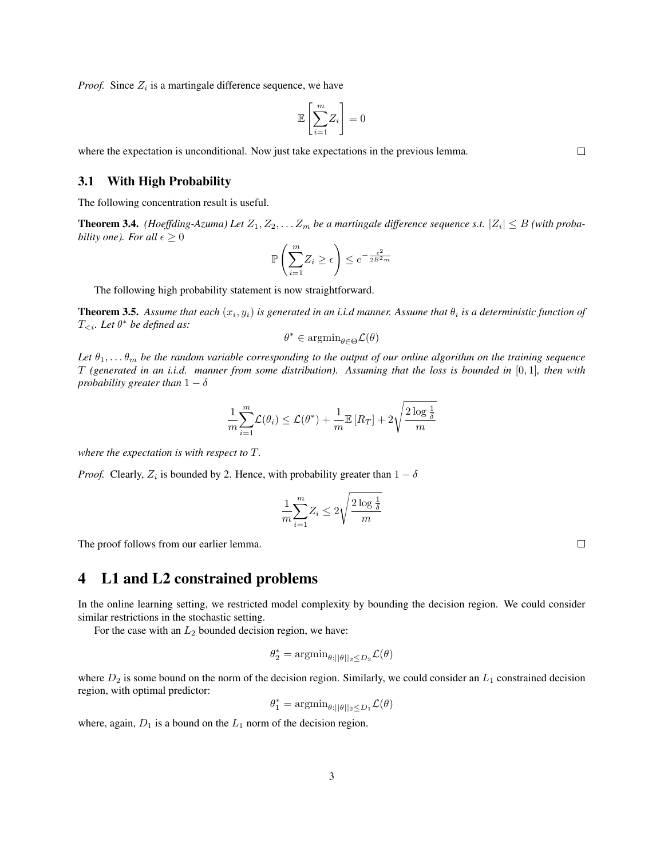*Proof.* Since  $Z_i$  is a martingale difference sequence, we have

$$
\mathbb{E}\left[\sum_{i=1}^m Z_i\right] = 0
$$

where the expectation is unconditional. Now just take expectations in the previous lemma.

#### 3.1 With High Probability

The following concentration result is useful.

**Theorem 3.4.** (Hoeffding-Azuma) Let  $Z_1, Z_2, \ldots Z_m$  be a martingale difference sequence s.t.  $|Z_i| \leq B$  (with proba*bility one). For all*  $\epsilon \geq 0$ 

$$
\mathbb{P}\left(\sum_{i=1}^{m} Z_i \ge \epsilon\right) \le e^{-\frac{\epsilon^2}{2B^2 m}}
$$

The following high probability statement is now straightforward.

**Theorem 3.5.** Assume that each  $(x_i, y_i)$  is generated in an i.i.d manner. Assume that  $\theta_i$  is a deterministic function of T<i*. Let* θ <sup>∗</sup> *be defined as:*

$$
\theta^* \in \operatorname{argmin}_{\theta \in \Theta} \mathcal{L}(\theta)
$$

Let  $\theta_1, \ldots, \theta_m$  be the random variable corresponding to the output of our online algorithm on the training sequence T *(generated in an i.i.d. manner from some distribution). Assuming that the loss is bounded in* [0, 1]*, then with probability greater than*  $1 - \delta$ 

$$
\frac{1}{m}\sum_{i=1}^{m}\mathcal{L}(\theta_i) \le \mathcal{L}(\theta^*) + \frac{1}{m}\mathbb{E}\left[R_T\right] + 2\sqrt{\frac{2\log\frac{1}{\delta}}{m}}
$$

*where the expectation is with respect to* T*.*

*Proof.* Clearly,  $Z_i$  is bounded by 2. Hence, with probability greater than  $1 - \delta$ 

$$
\frac{1}{m} \sum_{i=1}^{m} Z_i \le 2 \sqrt{\frac{2 \log \frac{1}{\delta}}{m}}
$$

The proof follows from our earlier lemma.

# 4 L1 and L2 constrained problems

In the online learning setting, we restricted model complexity by bounding the decision region. We could consider similar restrictions in the stochastic setting.

For the case with an  $L_2$  bounded decision region, we have:

$$
\theta_2^* = \operatorname{argmin}_{\theta:||\theta||_2 \le D_2} \mathcal{L}(\theta)
$$

where  $D_2$  is some bound on the norm of the decision region. Similarly, we could consider an  $L_1$  constrained decision region, with optimal predictor:

$$
\theta_1^*=\text{argmin}_{\theta:||\theta||_2\leq D_1}\mathcal{L}(\theta)
$$

where, again,  $D_1$  is a bound on the  $L_1$  norm of the decision region.

 $\Box$ 

 $\Box$